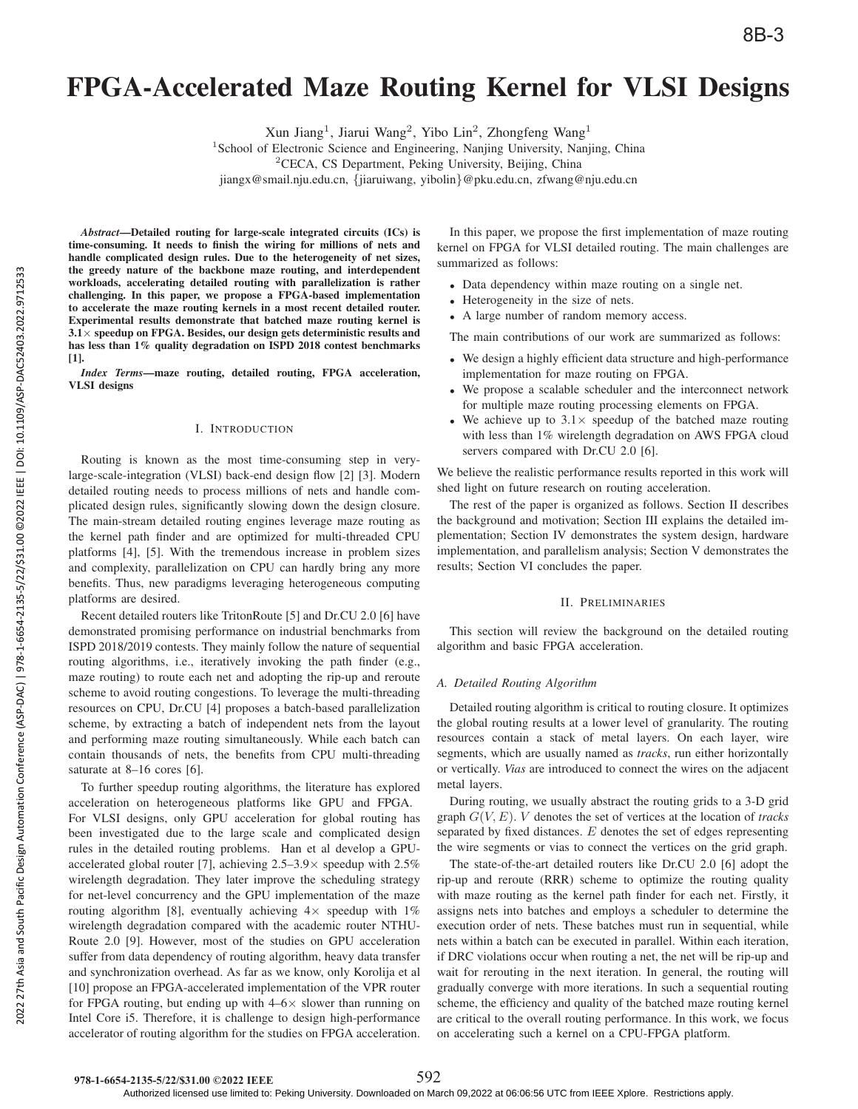# FPGA-Accelerated Maze Routing Kernel for VLSI Designs

Xun Jiang<sup>1</sup>, Jiarui Wang<sup>2</sup>, Yibo Lin<sup>2</sup>, Zhongfeng Wang<sup>1</sup>

<sup>1</sup>School of Electronic Science and Engineering, Nanjing University, Nanjing, China

<sup>2</sup>CECA, CS Department, Peking University, Beijing, China

jiangx@smail.nju.edu.cn, {jiaruiwang, yibolin}@pku.edu.cn, zfwang@nju.edu.cn

*Abstract*—Detailed routing for large-scale integrated circuits (ICs) is time-consuming. It needs to finish the wiring for millions of nets and handle complicated design rules. Due to the heterogeneity of net sizes, the greedy nature of the backbone maze routing, and interdependent workloads, accelerating detailed routing with parallelization is rather challenging. In this paper, we propose a FPGA-based implementation to accelerate the maze routing kernels in a most recent detailed router. Experimental results demonstrate that batched maze routing kernel is  $3.1\times$  speedup on FPGA. Besides, our design gets deterministic results and has less than 1% quality degradation on ISPD 2018 contest benchmarks [1].

*Index Terms*—maze routing, detailed routing, FPGA acceleration, VLSI designs

#### I. INTRODUCTION

Routing is known as the most time-consuming step in verylarge-scale-integration (VLSI) back-end design flow [2] [3]. Modern detailed routing needs to process millions of nets and handle complicated design rules, significantly slowing down the design closure. The main-stream detailed routing engines leverage maze routing as the kernel path finder and are optimized for multi-threaded CPU platforms [4], [5]. With the tremendous increase in problem sizes and complexity, parallelization on CPU can hardly bring any more benefits. Thus, new paradigms leveraging heterogeneous computing platforms are desired.

Recent detailed routers like TritonRoute [5] and Dr.CU 2.0 [6] have demonstrated promising performance on industrial benchmarks from ISPD 2018/2019 contests. They mainly follow the nature of sequential routing algorithms, i.e., iteratively invoking the path finder (e.g., maze routing) to route each net and adopting the rip-up and reroute scheme to avoid routing congestions. To leverage the multi-threading resources on CPU, Dr.CU [4] proposes a batch-based parallelization scheme, by extracting a batch of independent nets from the layout and performing maze routing simultaneously. While each batch can contain thousands of nets, the benefits from CPU multi-threading saturate at 8–16 cores [6].

To further speedup routing algorithms, the literature has explored acceleration on heterogeneous platforms like GPU and FPGA. For VLSI designs, only GPU acceleration for global routing has been investigated due to the large scale and complicated design rules in the detailed routing problems. Han et al develop a GPUaccelerated global router [7], achieving  $2.5-3.9\times$  speedup with  $2.5\%$ wirelength degradation. They later improve the scheduling strategy for net-level concurrency and the GPU implementation of the maze routing algorithm [8], eventually achieving  $4 \times$  speedup with  $1\%$ wirelength degradation compared with the academic router NTHU-Route 2.0 [9]. However, most of the studies on GPU acceleration suffer from data dependency of routing algorithm, heavy data transfer and synchronization overhead. As far as we know, only Korolija et al [10] propose an FPGA-accelerated implementation of the VPR router for FPGA routing, but ending up with  $4-6\times$  slower than running on Intel Core i5. Therefore, it is challenge to design high-performance accelerator of routing algorithm for the studies on FPGA acceleration.

In this paper, we propose the first implementation of maze routing kernel on FPGA for VLSI detailed routing. The main challenges are summarized as follows:

- Data dependency within maze routing on a single net.
- Heterogeneity in the size of nets.
- A large number of random memory access.

The main contributions of our work are summarized as follows:

- We design a highly efficient data structure and high-performance implementation for maze routing on FPGA.
- We propose a scalable scheduler and the interconnect network for multiple maze routing processing elements on FPGA.
- We achieve up to  $3.1 \times$  speedup of the batched maze routing with less than 1% wirelength degradation on AWS FPGA cloud servers compared with Dr.CU 2.0 [6].

We believe the realistic performance results reported in this work will shed light on future research on routing acceleration.

The rest of the paper is organized as follows. Section II describes the background and motivation; Section III explains the detailed implementation; Section IV demonstrates the system design, hardware implementation, and parallelism analysis; Section V demonstrates the results; Section VI concludes the paper.

## II. PRELIMINARIES

This section will review the background on the detailed routing algorithm and basic FPGA acceleration.

### *A. Detailed Routing Algorithm*

Detailed routing algorithm is critical to routing closure. It optimizes the global routing results at a lower level of granularity. The routing resources contain a stack of metal layers. On each layer, wire segments, which are usually named as *tracks*, run either horizontally or vertically. *Vias* are introduced to connect the wires on the adjacent metal layers.

During routing, we usually abstract the routing grids to a 3-D grid graph G(V,E). V denotes the set of vertices at the location of *tracks* separated by fixed distances.  $E$  denotes the set of edges representing the wire segments or vias to connect the vertices on the grid graph.

The state-of-the-art detailed routers like Dr.CU 2.0 [6] adopt the rip-up and reroute (RRR) scheme to optimize the routing quality with maze routing as the kernel path finder for each net. Firstly, it assigns nets into batches and employs a scheduler to determine the execution order of nets. These batches must run in sequential, while nets within a batch can be executed in parallel. Within each iteration, if DRC violations occur when routing a net, the net will be rip-up and wait for rerouting in the next iteration. In general, the routing will gradually converge with more iterations. In such a sequential routing scheme, the efficiency and quality of the batched maze routing kernel are critical to the overall routing performance. In this work, we focus on accelerating such a kernel on a CPU-FPGA platform.

592

Authorized licensed use limited to: Peking University. Downloaded on March 09,2022 at 06:06:56 UTC from IEEE Xplore. Restrictions apply.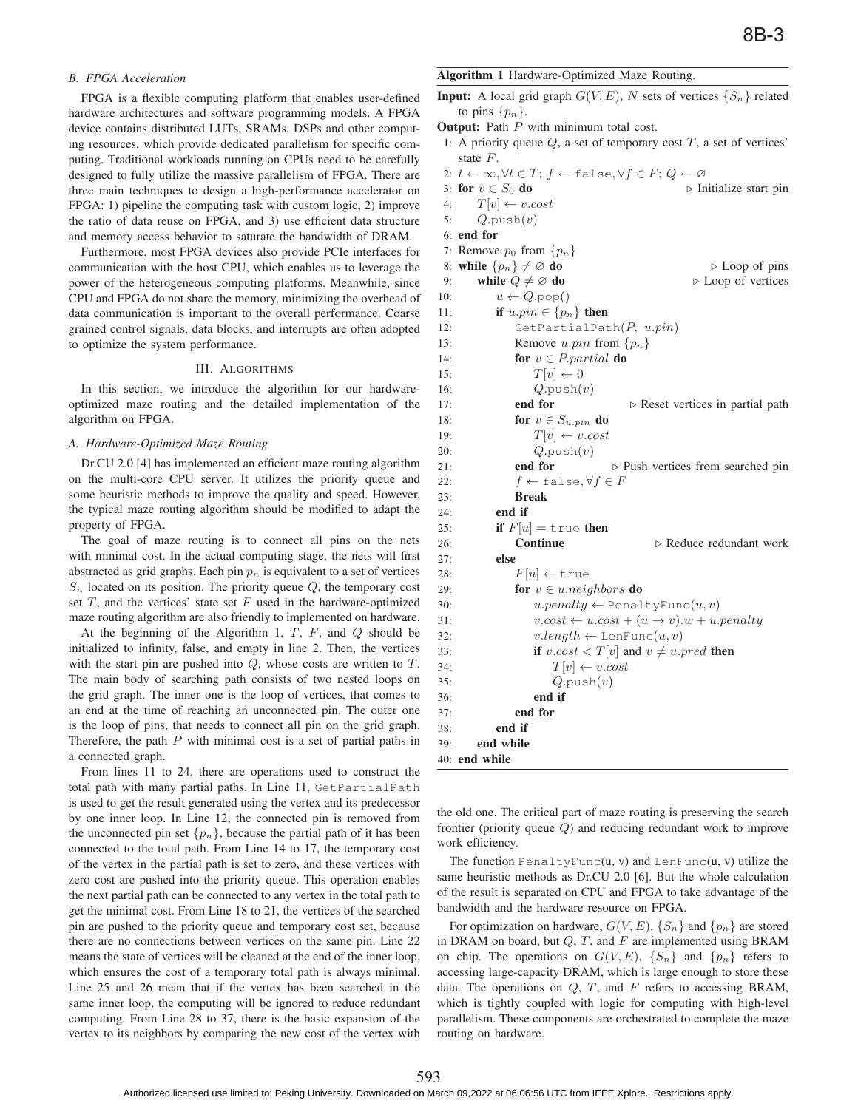## *B. FPGA Acceleration*

FPGA is a flexible computing platform that enables user-defined hardware architectures and software programming models. A FPGA device contains distributed LUTs, SRAMs, DSPs and other computing resources, which provide dedicated parallelism for specific computing. Traditional workloads running on CPUs need to be carefully designed to fully utilize the massive parallelism of FPGA. There are three main techniques to design a high-performance accelerator on FPGA: 1) pipeline the computing task with custom logic, 2) improve the ratio of data reuse on FPGA, and 3) use efficient data structure and memory access behavior to saturate the bandwidth of DRAM.

Furthermore, most FPGA devices also provide PCIe interfaces for communication with the host CPU, which enables us to leverage the power of the heterogeneous computing platforms. Meanwhile, since CPU and FPGA do not share the memory, minimizing the overhead of data communication is important to the overall performance. Coarse grained control signals, data blocks, and interrupts are often adopted to optimize the system performance.

## III. ALGORITHMS

In this section, we introduce the algorithm for our hardwareoptimized maze routing and the detailed implementation of the algorithm on FPGA.

## *A. Hardware-Optimized Maze Routing*

Dr.CU 2.0 [4] has implemented an efficient maze routing algorithm on the multi-core CPU server. It utilizes the priority queue and some heuristic methods to improve the quality and speed. However, the typical maze routing algorithm should be modified to adapt the property of FPGA.

The goal of maze routing is to connect all pins on the nets with minimal cost. In the actual computing stage, the nets will first abstracted as grid graphs. Each pin  $p_n$  is equivalent to a set of vertices  $S_n$  located on its position. The priority queue  $Q$ , the temporary cost set  $T$ , and the vertices' state set  $F$  used in the hardware-optimized maze routing algorithm are also friendly to implemented on hardware.

At the beginning of the Algorithm 1,  $T$ ,  $F$ , and  $Q$  should be initialized to infinity, false, and empty in line 2. Then, the vertices with the start pin are pushed into  $Q$ , whose costs are written to  $T$ . The main body of searching path consists of two nested loops on the grid graph. The inner one is the loop of vertices, that comes to an end at the time of reaching an unconnected pin. The outer one is the loop of pins, that needs to connect all pin on the grid graph. Therefore, the path  $P$  with minimal cost is a set of partial paths in a connected graph.

From lines 11 to 24, there are operations used to construct the total path with many partial paths. In Line 11, GetPartialPath is used to get the result generated using the vertex and its predecessor by one inner loop. In Line 12, the connected pin is removed from the unconnected pin set  $\{p_n\}$ , because the partial path of it has been connected to the total path. From Line 14 to 17, the temporary cost of the vertex in the partial path is set to zero, and these vertices with zero cost are pushed into the priority queue. This operation enables the next partial path can be connected to any vertex in the total path to get the minimal cost. From Line 18 to 21, the vertices of the searched pin are pushed to the priority queue and temporary cost set, because there are no connections between vertices on the same pin. Line 22 means the state of vertices will be cleaned at the end of the inner loop, which ensures the cost of a temporary total path is always minimal. Line 25 and 26 mean that if the vertex has been searched in the same inner loop, the computing will be ignored to reduce redundant computing. From Line 28 to 37, there is the basic expansion of the vertex to its neighbors by comparing the new cost of the vertex with

#### Algorithm 1 Hardware-Optimized Maze Routing.

**Input:** A local grid graph  $G(V, E)$ , N sets of vertices  $\{S_n\}$  related to pins  $\{p_n\}$ .

**Output:** Path  $P$  with minimum total cost.

1: A priority queue  $Q$ , a set of temporary cost  $T$ , a set of vertices' state F.

```
2: t \leftarrow \infty, \forall t \in T; f \leftarrow \text{false}, \forall f \in F; Q \leftarrow \emptyset3: for v \in S_0 do
                                              \triangleright Initialize start pin
4: T[v] \leftarrow v. cost5: Q.\text{push}(v)6: end for
7: Remove p_0 from \{p_n\}8: while \{p_n\} \neq \emptyset do
                                                  \triangleright Loop of pins
9: while Q \neq \emptyset do
                                                Loop of vertices
10: u \leftarrow Q.\text{pop}()11: if u.pin \in \{p_n\} then
12: GetPartialPath(P, u.pin)
13: Remove u.pin from \{p_n\}14: for v \in P. partial do
15: T[v] \leftarrow 016: Q.\text{push}(v)17: end for
                                   \triangleright Reset vertices in partial path
18: for v \in S_{u.pin} do
19: T[v] \leftarrow v. cost20: Q.\text{push}(v)21: end for -
                                \triangleright Push vertices from searched pin
22: f \leftarrow \text{false}, \forall f \in F23: Break
24: end if
25: if F[u] = \text{true} then
26: Continue
                                         Reduce redundant work
27: else
28: F[u] \leftarrow \text{true}29: for v \in u.neighbors do
30: u.parenty \leftarrow \text{PenaltyFunction}(u, v)31: v.\text{cost} \leftarrow u.\text{cost} + (u \rightarrow v).\text{w} + u.\text{penalty}32: v.length \leftarrow \text{LenFunc}(u, v)33: if v \text{.} cost < T[v] and v \neq u \text{.} pred then
34: T[v] \leftarrow v. cost35: Q.\text{push}(v)36: end if
37: end for
38: end if
39: end while
```
the old one. The critical part of maze routing is preserving the search frontier (priority queue Q) and reducing redundant work to improve work efficiency.

The function  $PenaltyFunc(u, v)$  and  $LenFunc(u, v)$  utilize the same heuristic methods as Dr.CU 2.0 [6]. But the whole calculation of the result is separated on CPU and FPGA to take advantage of the bandwidth and the hardware resource on FPGA.

For optimization on hardware,  $G(V, E)$ ,  $\{S_n\}$  and  $\{p_n\}$  are stored in DRAM on board, but  $Q, T$ , and  $F$  are implemented using BRAM on chip. The operations on  $G(V, E)$ ,  $\{S_n\}$  and  $\{p_n\}$  refers to accessing large-capacity DRAM, which is large enough to store these data. The operations on  $Q$ ,  $T$ , and  $F$  refers to accessing BRAM, which is tightly coupled with logic for computing with high-level parallelism. These components are orchestrated to complete the maze routing on hardware.

40: end while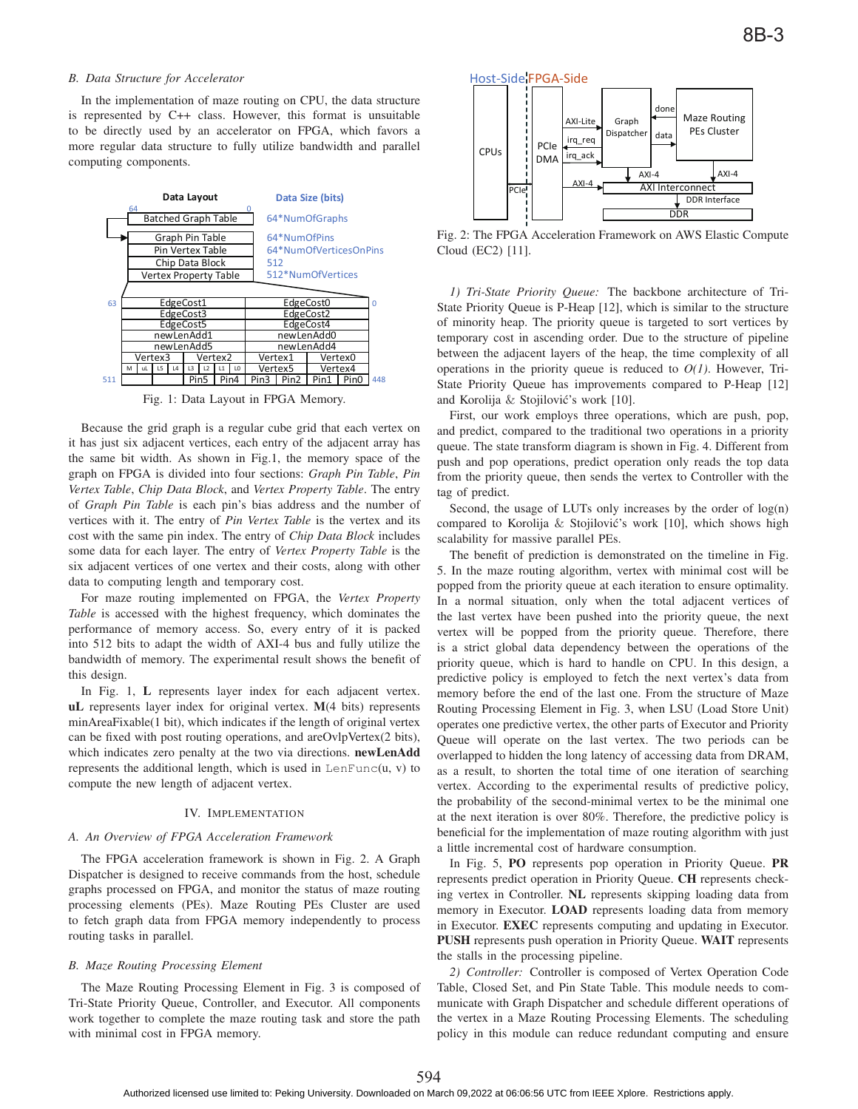## *B. Data Structure for Accelerator*

In the implementation of maze routing on CPU, the data structure is represented by C++ class. However, this format is unsuitable to be directly used by an accelerator on FPGA, which favors a more regular data structure to fully utilize bandwidth and parallel computing components.



Fig. 1: Data Layout in FPGA Memory.

Because the grid graph is a regular cube grid that each vertex on it has just six adjacent vertices, each entry of the adjacent array has the same bit width. As shown in Fig.1, the memory space of the graph on FPGA is divided into four sections: *Graph Pin Table*, *Pin Vertex Table*, *Chip Data Block*, and *Vertex Property Table*. The entry of *Graph Pin Table* is each pin's bias address and the number of vertices with it. The entry of *Pin Vertex Table* is the vertex and its cost with the same pin index. The entry of *Chip Data Block* includes some data for each layer. The entry of *Vertex Property Table* is the six adjacent vertices of one vertex and their costs, along with other data to computing length and temporary cost.

For maze routing implemented on FPGA, the *Vertex Property Table* is accessed with the highest frequency, which dominates the performance of memory access. So, every entry of it is packed into 512 bits to adapt the width of AXI-4 bus and fully utilize the bandwidth of memory. The experimental result shows the benefit of this design.

In Fig. 1, L represents layer index for each adjacent vertex. uL represents layer index for original vertex. M(4 bits) represents minAreaFixable(1 bit), which indicates if the length of original vertex can be fixed with post routing operations, and areOvlpVertex(2 bits), which indicates zero penalty at the two via directions. newLenAdd represents the additional length, which is used in  $\text{LenFunc}(u, v)$  to compute the new length of adjacent vertex.

#### IV. IMPLEMENTATION

#### *A. An Overview of FPGA Acceleration Framework*

The FPGA acceleration framework is shown in Fig. 2. A Graph Dispatcher is designed to receive commands from the host, schedule graphs processed on FPGA, and monitor the status of maze routing processing elements (PEs). Maze Routing PEs Cluster are used to fetch graph data from FPGA memory independently to process routing tasks in parallel.

#### *B. Maze Routing Processing Element*

The Maze Routing Processing Element in Fig. 3 is composed of Tri-State Priority Queue, Controller, and Executor. All components work together to complete the maze routing task and store the path with minimal cost in FPGA memory.



Fig. 2: The FPGA Acceleration Framework on AWS Elastic Compute Cloud (EC2) [11].

*1) Tri-State Priority Queue:* The backbone architecture of Tri-State Priority Queue is P-Heap [12], which is similar to the structure of minority heap. The priority queue is targeted to sort vertices by temporary cost in ascending order. Due to the structure of pipeline between the adjacent layers of the heap, the time complexity of all operations in the priority queue is reduced to *O(1)*. However, Tri-State Priority Queue has improvements compared to P-Heap [12] and Korolija & Stojilović's work [10].

First, our work employs three operations, which are push, pop, and predict, compared to the traditional two operations in a priority queue. The state transform diagram is shown in Fig. 4. Different from push and pop operations, predict operation only reads the top data from the priority queue, then sends the vertex to Controller with the tag of predict.

Second, the usage of LUTs only increases by the order of log(n) compared to Korolija & Stojilović's work [10], which shows high scalability for massive parallel PEs.

The benefit of prediction is demonstrated on the timeline in Fig. 5. In the maze routing algorithm, vertex with minimal cost will be popped from the priority queue at each iteration to ensure optimality. In a normal situation, only when the total adjacent vertices of the last vertex have been pushed into the priority queue, the next vertex will be popped from the priority queue. Therefore, there is a strict global data dependency between the operations of the priority queue, which is hard to handle on CPU. In this design, a predictive policy is employed to fetch the next vertex's data from memory before the end of the last one. From the structure of Maze Routing Processing Element in Fig. 3, when LSU (Load Store Unit) operates one predictive vertex, the other parts of Executor and Priority Queue will operate on the last vertex. The two periods can be overlapped to hidden the long latency of accessing data from DRAM, as a result, to shorten the total time of one iteration of searching vertex. According to the experimental results of predictive policy, the probability of the second-minimal vertex to be the minimal one at the next iteration is over 80%. Therefore, the predictive policy is beneficial for the implementation of maze routing algorithm with just a little incremental cost of hardware consumption.

In Fig. 5, PO represents pop operation in Priority Queue. PR represents predict operation in Priority Queue. CH represents checking vertex in Controller. NL represents skipping loading data from memory in Executor. LOAD represents loading data from memory in Executor. EXEC represents computing and updating in Executor. PUSH represents push operation in Priority Queue. WAIT represents the stalls in the processing pipeline.

*2) Controller:* Controller is composed of Vertex Operation Code Table, Closed Set, and Pin State Table. This module needs to communicate with Graph Dispatcher and schedule different operations of the vertex in a Maze Routing Processing Elements. The scheduling policy in this module can reduce redundant computing and ensure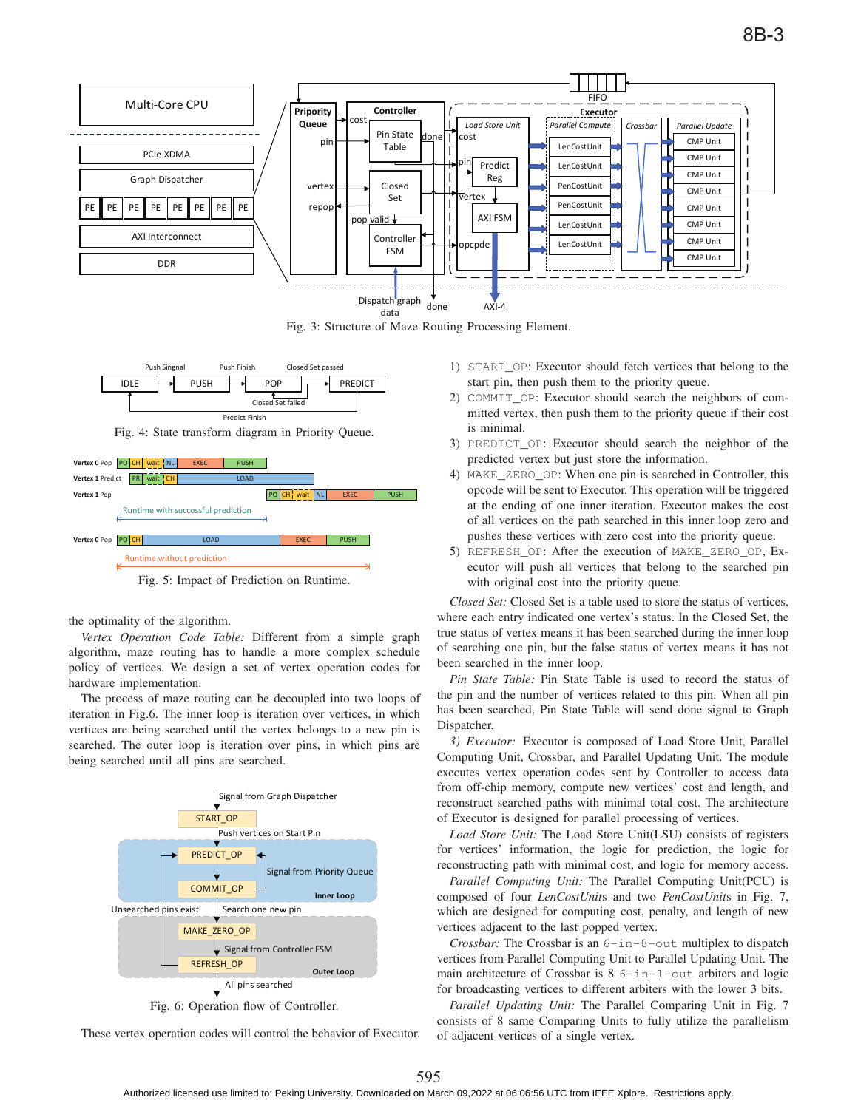

Fig. 3: Structure of Maze Routing Processing Element.



Fig. 4: State transform diagram in Priority Queue.



Fig. 5: Impact of Prediction on Runtime.

the optimality of the algorithm.

*Vertex Operation Code Table:* Different from a simple graph algorithm, maze routing has to handle a more complex schedule policy of vertices. We design a set of vertex operation codes for hardware implementation.

The process of maze routing can be decoupled into two loops of iteration in Fig.6. The inner loop is iteration over vertices, in which vertices are being searched until the vertex belongs to a new pin is searched. The outer loop is iteration over pins, in which pins are being searched until all pins are searched.



Fig. 6: Operation flow of Controller.

These vertex operation codes will control the behavior of Executor.

- 1) START\_OP: Executor should fetch vertices that belong to the start pin, then push them to the priority queue.
- 2) COMMIT\_OP: Executor should search the neighbors of committed vertex, then push them to the priority queue if their cost is minimal.
- 3) PREDICT\_OP: Executor should search the neighbor of the predicted vertex but just store the information.
- 4) MAKE\_ZERO\_OP: When one pin is searched in Controller, this opcode will be sent to Executor. This operation will be triggered at the ending of one inner iteration. Executor makes the cost of all vertices on the path searched in this inner loop zero and pushes these vertices with zero cost into the priority queue.
- 5) REFRESH\_OP: After the execution of MAKE\_ZERO\_OP, Executor will push all vertices that belong to the searched pin with original cost into the priority queue.

*Closed Set:* Closed Set is a table used to store the status of vertices, where each entry indicated one vertex's status. In the Closed Set, the true status of vertex means it has been searched during the inner loop of searching one pin, but the false status of vertex means it has not been searched in the inner loop.

*Pin State Table:* Pin State Table is used to record the status of the pin and the number of vertices related to this pin. When all pin has been searched, Pin State Table will send done signal to Graph Dispatcher.

*3) Executor:* Executor is composed of Load Store Unit, Parallel Computing Unit, Crossbar, and Parallel Updating Unit. The module executes vertex operation codes sent by Controller to access data from off-chip memory, compute new vertices' cost and length, and reconstruct searched paths with minimal total cost. The architecture of Executor is designed for parallel processing of vertices.

*Load Store Unit:* The Load Store Unit(LSU) consists of registers for vertices' information, the logic for prediction, the logic for reconstructing path with minimal cost, and logic for memory access.

*Parallel Computing Unit:* The Parallel Computing Unit(PCU) is composed of four *LenCostUnit*s and two *PenCostUnit*s in Fig. 7, which are designed for computing cost, penalty, and length of new vertices adjacent to the last popped vertex.

*Crossbar:* The Crossbar is an 6-in-8-out multiplex to dispatch vertices from Parallel Computing Unit to Parallel Updating Unit. The main architecture of Crossbar is 8 6-in-1-out arbiters and logic for broadcasting vertices to different arbiters with the lower 3 bits.

*Parallel Updating Unit:* The Parallel Comparing Unit in Fig. 7 consists of 8 same Comparing Units to fully utilize the parallelism of adjacent vertices of a single vertex.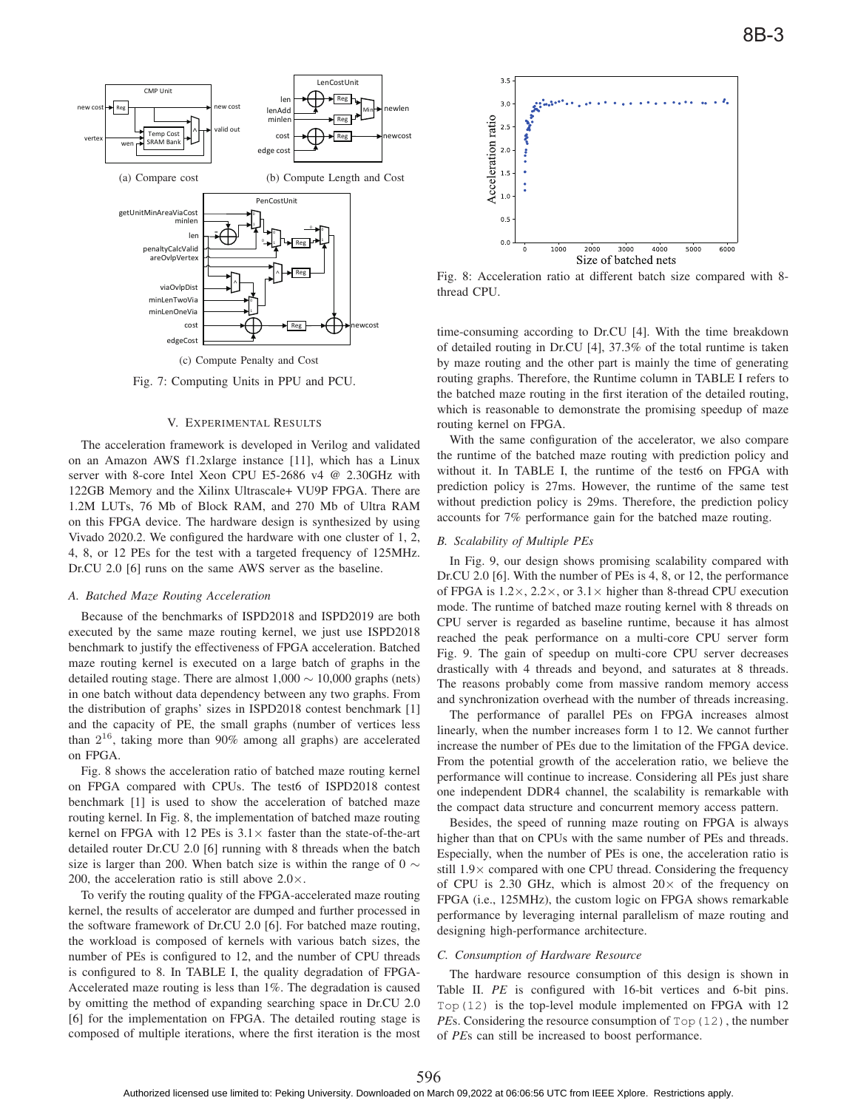

Fig. 7: Computing Units in PPU and PCU.

#### V. EXPERIMENTAL RESULTS

The acceleration framework is developed in Verilog and validated on an Amazon AWS f1.2xlarge instance [11], which has a Linux server with 8-core Intel Xeon CPU E5-2686 v4 @ 2.30GHz with 122GB Memory and the Xilinx Ultrascale+ VU9P FPGA. There are 1.2M LUTs, 76 Mb of Block RAM, and 270 Mb of Ultra RAM on this FPGA device. The hardware design is synthesized by using Vivado 2020.2. We configured the hardware with one cluster of 1, 2, 4, 8, or 12 PEs for the test with a targeted frequency of 125MHz. Dr.CU 2.0 [6] runs on the same AWS server as the baseline.

### *A. Batched Maze Routing Acceleration*

Because of the benchmarks of ISPD2018 and ISPD2019 are both executed by the same maze routing kernel, we just use ISPD2018 benchmark to justify the effectiveness of FPGA acceleration. Batched maze routing kernel is executed on a large batch of graphs in the detailed routing stage. There are almost  $1,000 \sim 10,000$  graphs (nets) in one batch without data dependency between any two graphs. From the distribution of graphs' sizes in ISPD2018 contest benchmark [1] and the capacity of PE, the small graphs (number of vertices less than  $2^{16}$ , taking more than 90% among all graphs) are accelerated on FPGA.

Fig. 8 shows the acceleration ratio of batched maze routing kernel on FPGA compared with CPUs. The test6 of ISPD2018 contest benchmark [1] is used to show the acceleration of batched maze routing kernel. In Fig. 8, the implementation of batched maze routing kernel on FPGA with 12 PEs is  $3.1 \times$  faster than the state-of-the-art detailed router Dr.CU 2.0 [6] running with 8 threads when the batch size is larger than 200. When batch size is within the range of 0  $\sim$ 200, the acceleration ratio is still above  $2.0 \times$ .

To verify the routing quality of the FPGA-accelerated maze routing kernel, the results of accelerator are dumped and further processed in the software framework of Dr.CU 2.0 [6]. For batched maze routing, the workload is composed of kernels with various batch sizes, the number of PEs is configured to 12, and the number of CPU threads is configured to 8. In TABLE I, the quality degradation of FPGA-Accelerated maze routing is less than 1%. The degradation is caused by omitting the method of expanding searching space in Dr.CU 2.0 [6] for the implementation on FPGA. The detailed routing stage is composed of multiple iterations, where the first iteration is the most



Fig. 8: Acceleration ratio at different batch size compared with 8 thread CPU.

time-consuming according to Dr.CU [4]. With the time breakdown of detailed routing in Dr.CU [4], 37.3% of the total runtime is taken by maze routing and the other part is mainly the time of generating routing graphs. Therefore, the Runtime column in TABLE I refers to the batched maze routing in the first iteration of the detailed routing, which is reasonable to demonstrate the promising speedup of maze routing kernel on FPGA.

With the same configuration of the accelerator, we also compare the runtime of the batched maze routing with prediction policy and without it. In TABLE I, the runtime of the test6 on FPGA with prediction policy is 27ms. However, the runtime of the same test without prediction policy is 29ms. Therefore, the prediction policy accounts for 7% performance gain for the batched maze routing.

## *B. Scalability of Multiple PEs*

In Fig. 9, our design shows promising scalability compared with Dr.CU 2.0 [6]. With the number of PEs is 4, 8, or 12, the performance of FPGA is  $1.2 \times$ ,  $2.2 \times$ , or  $3.1 \times$  higher than 8-thread CPU execution mode. The runtime of batched maze routing kernel with 8 threads on CPU server is regarded as baseline runtime, because it has almost reached the peak performance on a multi-core CPU server form Fig. 9. The gain of speedup on multi-core CPU server decreases drastically with 4 threads and beyond, and saturates at 8 threads. The reasons probably come from massive random memory access and synchronization overhead with the number of threads increasing.

The performance of parallel PEs on FPGA increases almost linearly, when the number increases form 1 to 12. We cannot further increase the number of PEs due to the limitation of the FPGA device. From the potential growth of the acceleration ratio, we believe the performance will continue to increase. Considering all PEs just share one independent DDR4 channel, the scalability is remarkable with the compact data structure and concurrent memory access pattern.

Besides, the speed of running maze routing on FPGA is always higher than that on CPUs with the same number of PEs and threads. Especially, when the number of PEs is one, the acceleration ratio is still 1.9× compared with one CPU thread. Considering the frequency of CPU is 2.30 GHz, which is almost  $20 \times$  of the frequency on FPGA (i.e., 125MHz), the custom logic on FPGA shows remarkable performance by leveraging internal parallelism of maze routing and designing high-performance architecture.

#### *C. Consumption of Hardware Resource*

The hardware resource consumption of this design is shown in Table II. *PE* is configured with 16-bit vertices and 6-bit pins. Top(12) is the top-level module implemented on FPGA with 12 *PE*s. Considering the resource consumption of  $Top(12)$ , the number of *PE*s can still be increased to boost performance.